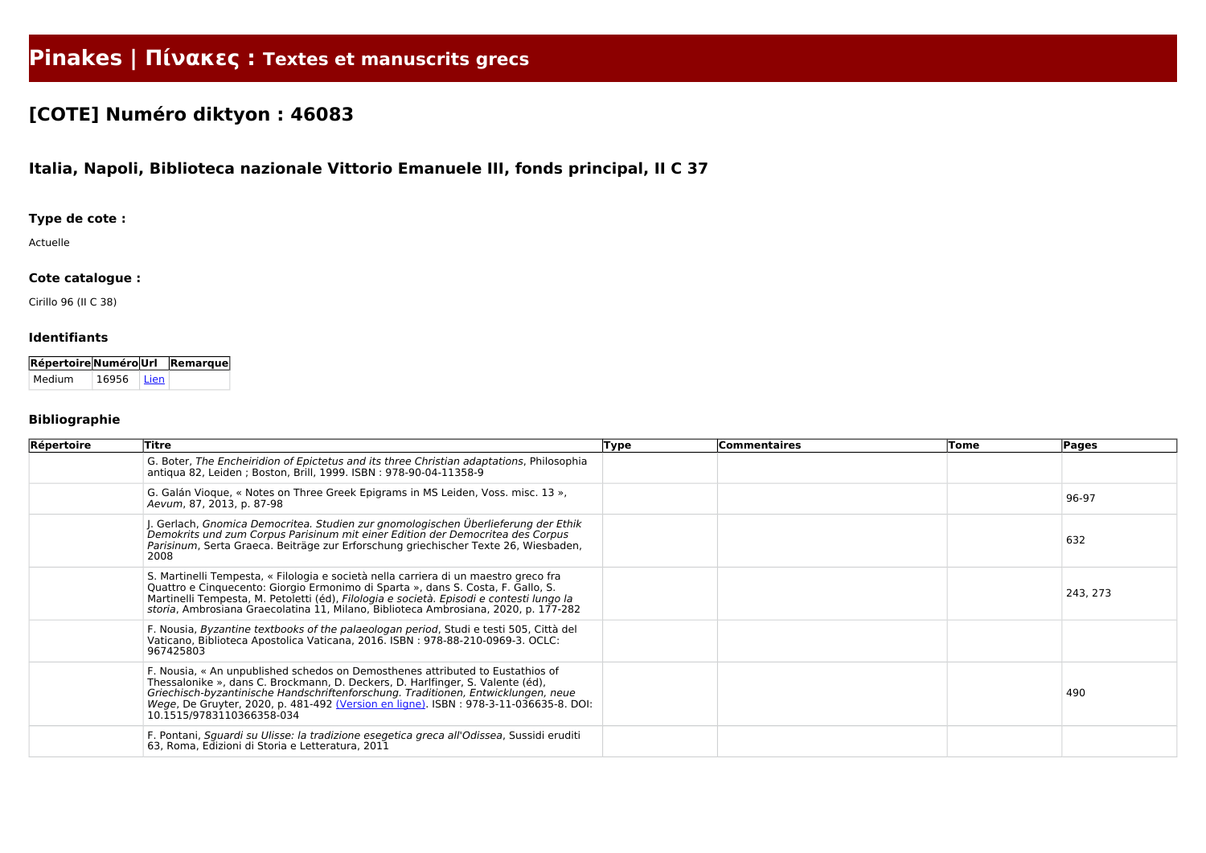# **Pinakes | Πίνακες : Textes et manuscrits grecs**

# **[COTE] Numéro diktyon : 46083**

## **Italia, Napoli, Biblioteca nazionale Vittorio Emanuele III, fonds principal, II C 37**

#### **Type de cote :**

Actuelle

#### **Cote catalogue :**

Cirillo 96 (II C 38)

#### **Identifiants**

| RépertoireNuméroUrl Remarque |       |        |  |
|------------------------------|-------|--------|--|
| Medium                       | 16956 | l Lien |  |

### **Bibliographie**

| Répertoire | <b>Titre</b>                                                                                                                                                                                                                                                                                                                                                               | <b>Type</b> | <b>Commentaires</b> | Tome | Pages    |
|------------|----------------------------------------------------------------------------------------------------------------------------------------------------------------------------------------------------------------------------------------------------------------------------------------------------------------------------------------------------------------------------|-------------|---------------------|------|----------|
|            | G. Boter, The Encheiridion of Epictetus and its three Christian adaptations, Philosophia<br>antiqua 82, Leiden; Boston, Brill, 1999. ISBN: 978-90-04-11358-9                                                                                                                                                                                                               |             |                     |      |          |
|            | G. Galán Vioque, « Notes on Three Greek Epigrams in MS Leiden, Voss. misc. 13 »,<br>Aevum, 87, 2013, p. 87-98                                                                                                                                                                                                                                                              |             |                     |      | 96-97    |
|            | . Gerlach, Gnomica Democritea. Studien zur gnomologischen Überlieferung der Ethik<br>Demokrits und zum Corpus Parisinum mit einer Edition der Democritea des Corpus<br>Parisinum, Serta Graeca. Beiträge zur Erforschung griechischer Texte 26, Wiesbaden,<br>2008                                                                                                         |             |                     |      | 632      |
|            | S. Martinelli Tempesta, « Filologia e società nella carriera di un maestro greco fra<br>Quattro e Cinquecento: Giorgio Ermonimo di Sparta », dans S. Costa, F. Gallo, S.<br>Martinelli Tempesta, M. Petoletti (éd), Filologia e società. Episodi e contesti lungo la<br>storia, Ambrosiana Graecolatina 11, Milano, Biblioteca Ambrosiana, 2020, p. 177-282                |             |                     |      | 243, 273 |
|            | F. Nousia, Byzantine textbooks of the palaeologan period, Studi e testi 505, Città del<br>Vaticano, Biblioteca Apostolica Vaticana, 2016. ISBN: 978-88-210-0969-3. OCLC:<br>967425803                                                                                                                                                                                      |             |                     |      |          |
|            | F. Nousia, « An unpublished schedos on Demosthenes attributed to Eustathios of<br>Thessalonike », dans C. Brockmann, D. Deckers, D. Harlfinger, S. Valente (éd),<br>Griechisch-byzantinische Handschriftenforschung. Traditionen, Entwicklungen, neue<br>Wege, De Gruyter, 2020, p. 481-492 (Version en ligne). ISBN: 978-3-11-036635-8. DOI:<br>10.1515/9783110366358-034 |             |                     |      | 490      |
|            | F. Pontani, Sguardi su Ulisse: la tradizione esegetica greca all'Odissea, Sussidi eruditi<br>63, Roma, Edizioni di Storia e Letteratura, 2011                                                                                                                                                                                                                              |             |                     |      |          |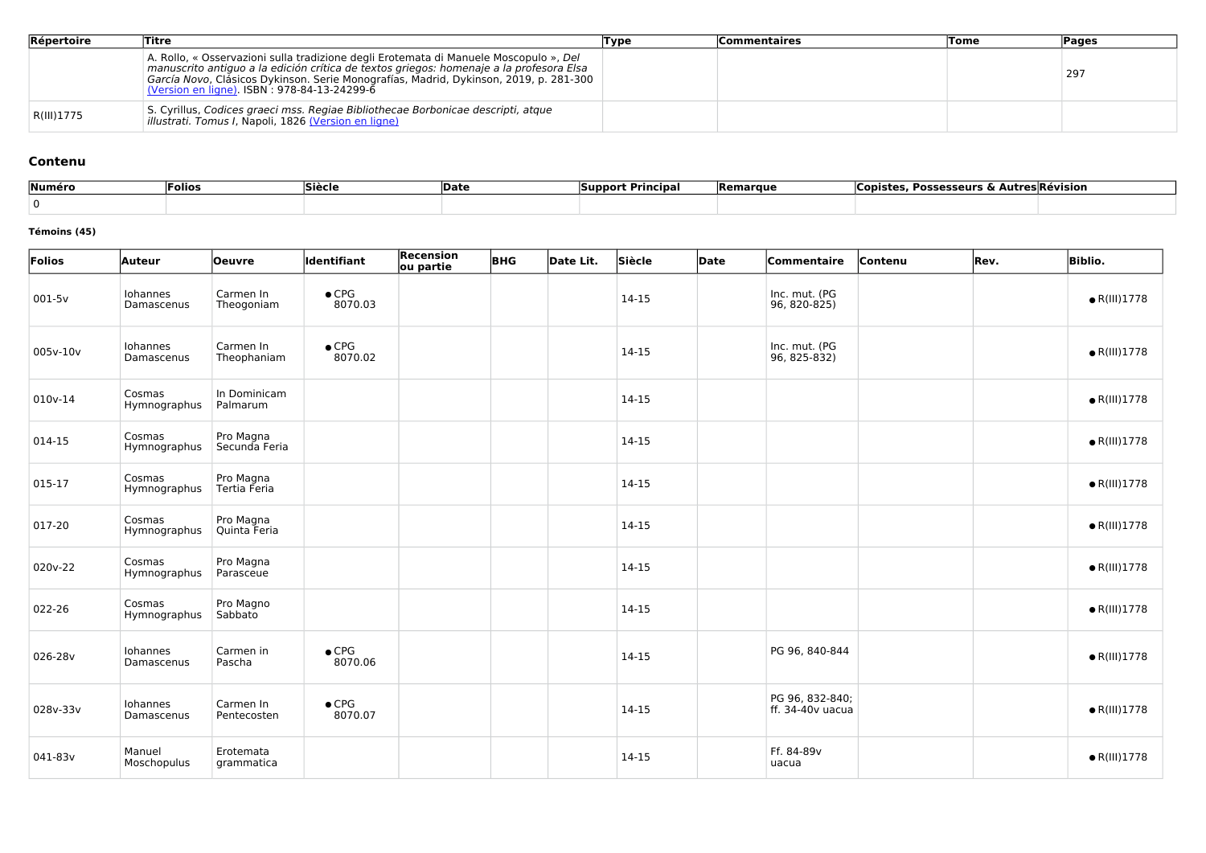| Répertoire | Titre                                                                                                                                                                                                                                                                                                                            | Type | <b>Commentaires</b> | <b>Tome</b> | <b>Pages</b> |
|------------|----------------------------------------------------------------------------------------------------------------------------------------------------------------------------------------------------------------------------------------------------------------------------------------------------------------------------------|------|---------------------|-------------|--------------|
|            | A. Rollo, « Osservazioni sulla tradizione degli Erotemata di Manuele Moscopulo », Del<br>manuscrito antiguo a la edición crítica de textos griegos: homenaje a la profesora Elsa<br>García Novo, Clásicos Dykinson. Serie Monografías, Madrid, Dykinson, 2019, p. 281-300<br><u>(Version en ligne)</u> . ISBN: 978-84-13-24299-6 |      |                     |             | 297          |
| R(III)1775 | S. Cyrillus, Codices graeci mss. Regiae Bibliothecae Borbonicae descripti, atque<br>illustrati. Tomus I, Napoli, 1826 (Version en ligne)                                                                                                                                                                                         |      |                     |             |              |

#### **Contenu**

| Numéro | 'Folios | Siècle | <b>Date</b> | Principal<br>. Ом.<br><b>Support</b> | Remarque | <b>Possesseurs</b><br><b>LODISTES</b><br>~ | `utres Révision |
|--------|---------|--------|-------------|--------------------------------------|----------|--------------------------------------------|-----------------|
|        |         |        |             |                                      |          |                                            |                 |

#### **Témoins (45)**

| Folios   | Auteur                 | <b>Oeuvre</b>              | Identifiant              | <b>Recension</b><br>ou partie | <b>BHG</b> | Date Lit. | Siècle    | Date | Commentaire                         | Contenu | Rev. | <b>Biblio.</b>       |
|----------|------------------------|----------------------------|--------------------------|-------------------------------|------------|-----------|-----------|------|-------------------------------------|---------|------|----------------------|
| 001-5v   | Iohannes<br>Damascenus | Carmen In<br>Theogoniam    | $\bullet$ CPG<br>8070.03 |                               |            |           | 14-15     |      | Inc. mut. (PG<br>96, 820-825)       |         |      | $\bullet$ R(III)1778 |
| 005v-10v | Iohannes<br>Damascenus | Carmen In<br>Theophaniam   | $\bullet$ CPG<br>8070.02 |                               |            |           | 14-15     |      | Inc. mut. (PG<br>96, 825-832)       |         |      | $\bullet$ R(III)1778 |
| 010v-14  | Cosmas<br>Hymnographus | In Dominicam<br>Palmarum   |                          |                               |            |           | 14-15     |      |                                     |         |      | $\bullet$ R(III)1778 |
| 014-15   | Cosmas<br>Hymnographus | Pro Magna<br>Secunda Feria |                          |                               |            |           | $14 - 15$ |      |                                     |         |      | $\bullet$ R(III)1778 |
| 015-17   | Cosmas<br>Hymnographus | Pro Magna<br>Tertia Feria  |                          |                               |            |           | 14-15     |      |                                     |         |      | $\bullet$ R(III)1778 |
| 017-20   | Cosmas<br>Hymnographus | Pro Magna<br>Quinta Feria  |                          |                               |            |           | 14-15     |      |                                     |         |      | $\bullet$ R(III)1778 |
| 020v-22  | Cosmas<br>Hymnographus | Pro Magna<br>Parasceue     |                          |                               |            |           | 14-15     |      |                                     |         |      | $\bullet$ R(III)1778 |
| 022-26   | Cosmas<br>Hymnographus | Pro Magno<br>Sabbato       |                          |                               |            |           | 14-15     |      |                                     |         |      | $\bullet$ R(III)1778 |
| 026-28v  | Iohannes<br>Damascenus | Carmen in<br>Pascha        | $\bullet$ CPG<br>8070.06 |                               |            |           | 14-15     |      | PG 96, 840-844                      |         |      | $\bullet$ R(III)1778 |
| 028v-33v | Iohannes<br>Damascenus | Carmen In<br>Pentecosten   | $\bullet$ CPG<br>8070.07 |                               |            |           | 14-15     |      | PG 96, 832-840;<br>ff. 34-40v uacua |         |      | $\bullet$ R(III)1778 |
| 041-83v  | Manuel<br>Moschopulus  | Erotemata<br>grammatica    |                          |                               |            |           | $14-15$   |      | Ff. 84-89v<br>uacua                 |         |      | $\bullet$ R(III)1778 |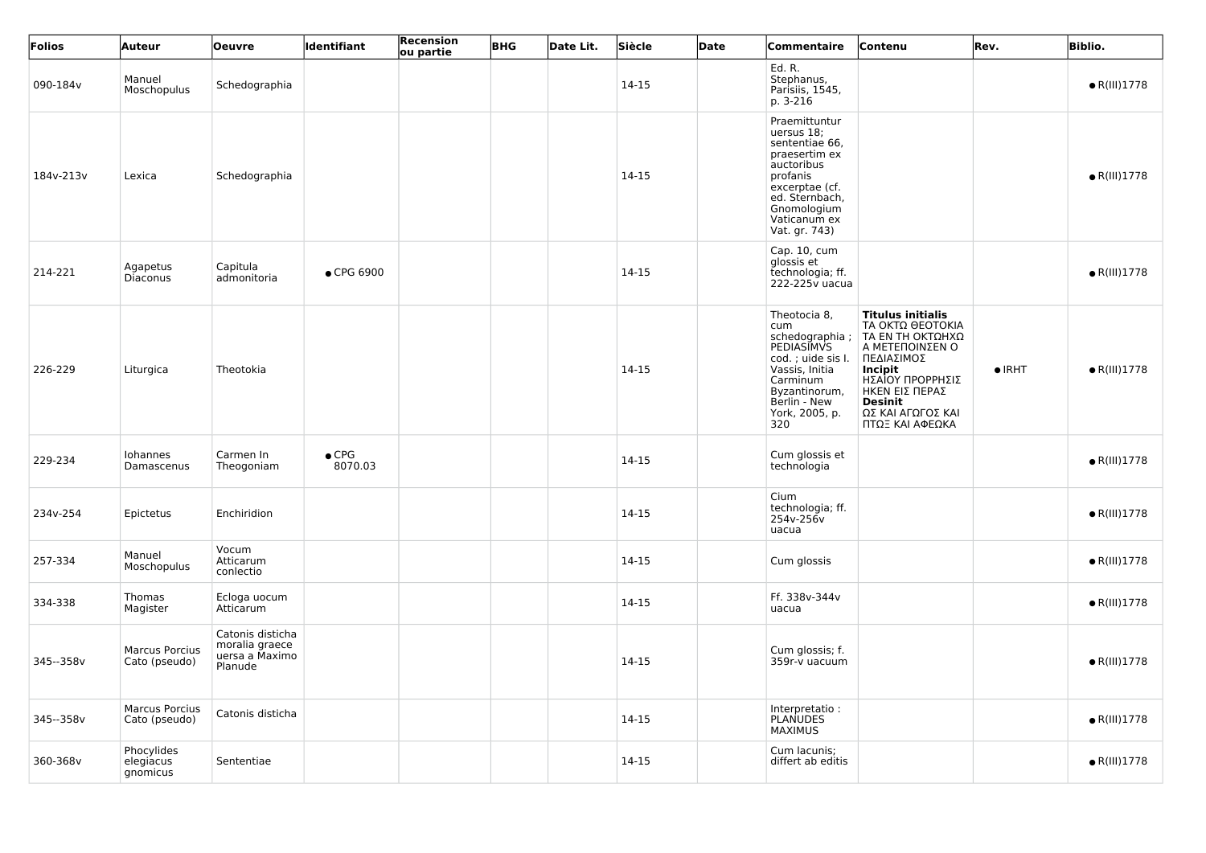| Folios    | Auteur                                 | <b>Oeuvre</b>                                                   | Identifiant              | Recension<br>ou partie | <b>BHG</b> | Date Lit. | Siècle  | Date | Commentaire                                                                                                                                                                  | Contenu                                                                                                                                                                                                               | Rev.           | <b>Biblio.</b>       |
|-----------|----------------------------------------|-----------------------------------------------------------------|--------------------------|------------------------|------------|-----------|---------|------|------------------------------------------------------------------------------------------------------------------------------------------------------------------------------|-----------------------------------------------------------------------------------------------------------------------------------------------------------------------------------------------------------------------|----------------|----------------------|
| 090-184v  | Manuel<br>Moschopulus                  | Schedographia                                                   |                          |                        |            |           | 14-15   |      | Ed. R.<br>Stephanus,<br>Parisiis, 1545,<br>p. 3-216                                                                                                                          |                                                                                                                                                                                                                       |                | $\bullet$ R(III)1778 |
| 184v-213v | Lexica                                 | Schedographia                                                   |                          |                        |            |           | 14-15   |      | Praemittuntur<br>uersus 18;<br>sententiae 66,<br>praesertim ex<br>auctoribus<br>profanis<br>excerptae (cf.<br>ed. Sternbach,<br>Gnomologium<br>Vaticanum ex<br>Vat. gr. 743) |                                                                                                                                                                                                                       |                | $\bullet$ R(III)1778 |
| 214-221   | Agapetus<br>Diaconus                   | Capitula<br>admonitoria                                         | • CPG 6900               |                        |            |           | 14-15   |      | Cap. 10, cum<br>glossis et<br>technologia; ff.<br>222-225v uacua                                                                                                             |                                                                                                                                                                                                                       |                | $\bullet$ R(III)1778 |
| 226-229   | Liturgica                              | Theotokia                                                       |                          |                        |            |           | 14-15   |      | Theotocia 8,<br>cum<br>schedographia;<br><b>PEDIASIMVS</b><br>cod.; uide sis I.<br>Vassis, Initia<br>Carminum<br>Byzantinorum,<br>Berlin - New<br>York, 2005, p.<br>320      | <b>Titulus initialis</b><br>ΤΑ ΟΚΤΩ ΘΕΟΤΟΚΙΑ<br>  ΤΑ ΕΝ ΤΗ ΟΚΤΩΗΧΩ<br>Α ΜΕΤΕΠΟΙΝΣΕΝ Ο<br>ΠΕΔΙΑΣΙΜΟΣ<br><b>Incipit</b><br>ΗΣΑΙΟΥ ΠΡΟΡΡΗΣΙΣ<br>ΗΚΕΝ ΕΙΣ ΠΕΡΑΣ<br><b>Desinit</b><br>ΩΣ ΚΑΙ ΑΓΩΓΟΣ ΚΑΙ<br>ΠΤΩΞ ΚΑΙ ΑΦΕΩΚΑ | $\bullet$ IRHT | $\bullet$ R(III)1778 |
| 229-234   | Iohannes<br>Damascenus                 | Carmen In<br>Theogoniam                                         | $\bullet$ CPG<br>8070.03 |                        |            |           | 14-15   |      | Cum glossis et<br>technologia                                                                                                                                                |                                                                                                                                                                                                                       |                | $\bullet$ R(III)1778 |
| 234v-254  | Epictetus                              | Enchiridion                                                     |                          |                        |            |           | $14-15$ |      | Cium<br>technologia; ff.<br>254v-256v<br>uacua                                                                                                                               |                                                                                                                                                                                                                       |                | $\bullet$ R(III)1778 |
| 257-334   | Manuel<br>Moschopulus                  | Vocum<br>Atticarum<br>conlectio                                 |                          |                        |            |           | $14-15$ |      | Cum glossis                                                                                                                                                                  |                                                                                                                                                                                                                       |                | $\bullet$ R(III)1778 |
| 334-338   | Thomas<br>Magister                     | Ecloga uocum<br>Atticarum                                       |                          |                        |            |           | $14-15$ |      | Ff. 338v-344v<br>uacua                                                                                                                                                       |                                                                                                                                                                                                                       |                | $\bullet$ R(III)1778 |
| 345--358v | <b>Marcus Porcius</b><br>Cato (pseudo) | Catonis disticha<br>moralia graece<br>uersa a Maximo<br>Planude |                          |                        |            |           | 14-15   |      | Cum glossis; f.<br>359r-v uacuum                                                                                                                                             |                                                                                                                                                                                                                       |                | $\bullet$ R(III)1778 |
| 345--358v | <b>Marcus Porcius</b><br>Cato (pseudo) | Catonis disticha                                                |                          |                        |            |           | 14-15   |      | Interpretatio:<br><b>PLANUDES</b><br><b>MAXIMUS</b>                                                                                                                          |                                                                                                                                                                                                                       |                | $\bullet$ R(III)1778 |
| 360-368v  | Phocylides<br>elegiacus<br>gnomicus    | Sententiae                                                      |                          |                        |            |           | 14-15   |      | Cum lacunis;<br>differt ab editis                                                                                                                                            |                                                                                                                                                                                                                       |                | $\bullet$ R(III)1778 |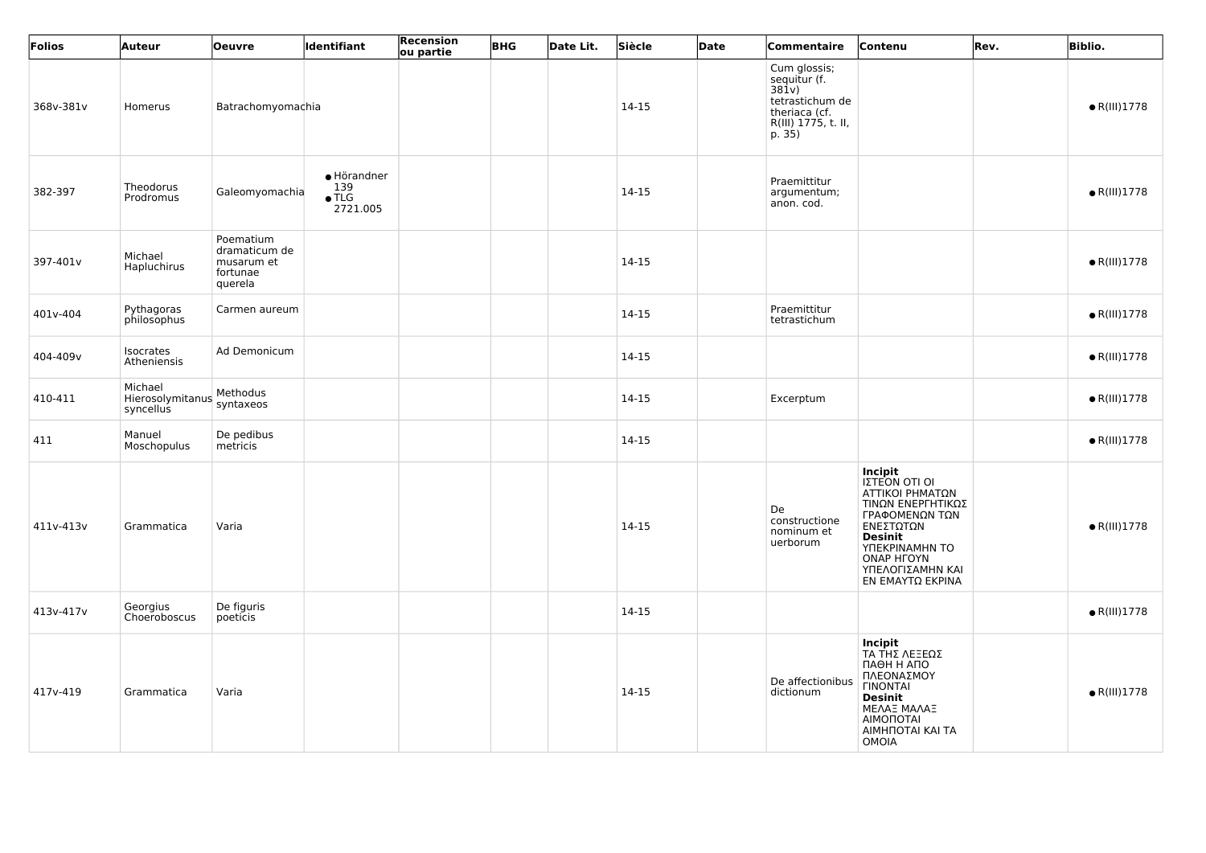| Folios    | Auteur                                   | <b>Oeuvre</b>                                                   | Identifiant                                     | Recension<br>ou partie | <b>BHG</b> | Date Lit. | Siècle  | Date | Commentaire                                                                                                | Contenu                                                                                                                                                                                                 | Rev. | <b>Biblio.</b>       |
|-----------|------------------------------------------|-----------------------------------------------------------------|-------------------------------------------------|------------------------|------------|-----------|---------|------|------------------------------------------------------------------------------------------------------------|---------------------------------------------------------------------------------------------------------------------------------------------------------------------------------------------------------|------|----------------------|
| 368v-381v | Homerus                                  | Batrachomyomachia                                               |                                                 |                        |            |           | 14-15   |      | Cum glossis;<br>sequitur (f.<br>381v)<br>tetrastichum de<br>theriaca (cf.<br>R(III) 1775, t. II,<br>p. 35) |                                                                                                                                                                                                         |      | $\bullet$ R(III)1778 |
| 382-397   | Theodorus<br>Prodromus                   | Galeomyomachia                                                  | · Hörandner<br>139<br>$\bullet$ TLG<br>2721.005 |                        |            |           | 14-15   |      | Praemittitur<br>argumentum;<br>anon. cod.                                                                  |                                                                                                                                                                                                         |      | $\bullet$ R(III)1778 |
| 397-401v  | Michael<br>Hapluchirus                   | Poematium<br>dramaticum de<br>musarum et<br>fortunae<br>querela |                                                 |                        |            |           | 14-15   |      |                                                                                                            |                                                                                                                                                                                                         |      | $\bullet$ R(III)1778 |
| 401v-404  | Pythagoras<br>philosophus                | Carmen aureum                                                   |                                                 |                        |            |           | 14-15   |      | Praemittitur<br>tetrastichum                                                                               |                                                                                                                                                                                                         |      | $\bullet$ R(III)1778 |
| 404-409v  | Isocrates<br>Atheniensis                 | Ad Demonicum                                                    |                                                 |                        |            |           | 14-15   |      |                                                                                                            |                                                                                                                                                                                                         |      | $\bullet$ R(III)1778 |
| 410-411   | Michael<br>Hierosolymitanus<br>syncellus | Methodus<br>syntaxeos                                           |                                                 |                        |            |           | 14-15   |      | Excerptum                                                                                                  |                                                                                                                                                                                                         |      | $\bullet$ R(III)1778 |
| 411       | Manuel<br>Moschopulus                    | De pedibus<br>metricis                                          |                                                 |                        |            |           | 14-15   |      |                                                                                                            |                                                                                                                                                                                                         |      | $\bullet$ R(III)1778 |
| 411v-413v | Grammatica                               | Varia                                                           |                                                 |                        |            |           | 14-15   |      | De<br>constructione<br>nominum et<br>uerborum                                                              | <b>Incipit</b><br>IZTEON OTI OI<br>ΑΤΤΙΚΟΙ ΡΗΜΑΤΩΝ<br>ΤΙΝΩΝ ΕΝΕΡΓΗΤΙΚΩΣ<br>ΓΡΑΦΟΜΕΝΩΝ ΤΩΝ<br>ΕΝΕΣΤΩΤΩΝ<br><b>Desinit</b><br>YNEKPINAMHN TO<br><b>ONAP HFOYN</b><br>ΥΠΕΛΟΓΙΣΑΜΗΝ ΚΑΙ<br>ΕΝ ΕΜΑΥΤΩ ΕΚΡΙΝΑ |      | $\bullet$ R(III)1778 |
| 413v-417v | Georgius<br>Choeroboscus                 | De figuris<br>poeticis                                          |                                                 |                        |            |           | $14-15$ |      |                                                                                                            |                                                                                                                                                                                                         |      | $\bullet$ R(III)1778 |
| 417v-419  | Grammatica                               | Varia                                                           |                                                 |                        |            |           | 14-15   |      | De affectionibus<br>dictionum                                                                              | <b>Incipit</b><br>ΤΑ ΤΗΣ ΛΕΞΕΩΣ<br>ПАӨН Н АПО<br>ΠΛΕΟΝΑΣΜΟΥ<br><b><i>FINONTAL</i></b><br><b>Desinit</b><br>ΜΕΛΑΞ ΜΑΛΑΞ<br>ΑΙΜΟΠΟΤΑΙ<br>AIMHNOTAI KAI TA<br>OMOIA                                        |      | $\bullet$ R(III)1778 |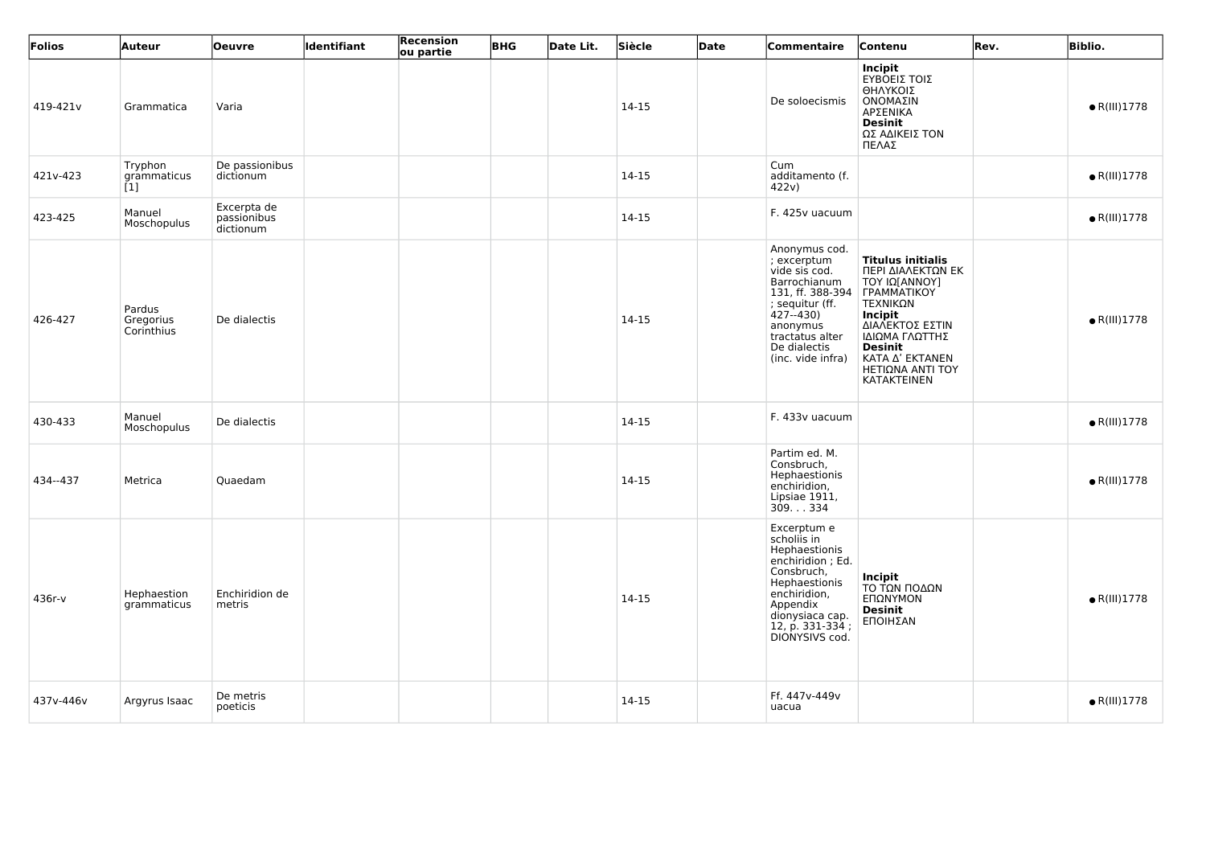| Folios    | Auteur                            | <b>Oeuvre</b>                           | Identifiant | <b>Recension</b><br>ou partie | <b>BHG</b> | Date Lit. | Siècle | Date | Commentaire                                                                                                                                                                             | Contenu                                                                                                                                                                                                                                | Rev. | <b>Biblio.</b>       |
|-----------|-----------------------------------|-----------------------------------------|-------------|-------------------------------|------------|-----------|--------|------|-----------------------------------------------------------------------------------------------------------------------------------------------------------------------------------------|----------------------------------------------------------------------------------------------------------------------------------------------------------------------------------------------------------------------------------------|------|----------------------|
| 419-421v  | Grammatica                        | Varia                                   |             |                               |            |           | 14-15  |      | De soloecismis                                                                                                                                                                          | <b>Incipit</b><br>ΕΥΒΟΕΙΣ ΤΟΙΣ<br>ΘΗΛΥΚΟΙΣ<br>ΟΝΟΜΑΣΙΝ<br>ΑΡΣΕΝΙΚΑ<br><b>Desinit</b><br>ΩΣ ΑΔΙΚΕΙΣ ΤΟΝ<br>ΠΕΛΑΣ                                                                                                                        |      | $\bullet$ R(III)1778 |
| 421v-423  | Tryphon<br>grammaticus<br>[1]     | De passionibus<br>dictionum             |             |                               |            |           | 14-15  |      | Cum<br>additamento (f.<br>422v)                                                                                                                                                         |                                                                                                                                                                                                                                        |      | $\bullet$ R(III)1778 |
| 423-425   | Manuel<br>Moschopulus             | Excerpta de<br>passionibus<br>dictionum |             |                               |            |           | 14-15  |      | F. 425v uacuum                                                                                                                                                                          |                                                                                                                                                                                                                                        |      | $\bullet$ R(III)1778 |
| 426-427   | Pardus<br>Gregorius<br>Corinthius | De dialectis                            |             |                               |            |           | 14-15  |      | Anonymus cod.<br>; excerptum<br>vide sis cod.<br>Barrochianum<br>131, ff. 388-394<br>; sequitur (ff.<br>$427 - 430$<br>anonymus<br>tractatus alter<br>De dialectis<br>(inc. vide infra) | <b>Titulus initialis</b><br>ΠΕΡΙ ΔΙΑΛΕΚΤΩΝ ΕΚ<br>ΤΟΥ ΙΩ[ΑΝΝΟΥ]<br><b>FPAMMATIKOY</b><br>ΤΕΧΝΙΚΩΝ<br><b>Incipit</b><br>ΔΙΑΛΕΚΤΟΣ ΕΣΤΙΝ<br>ΙΔΙΩΜΑ ΓΛΩΤΤΗΣ<br><b>Desinit</b><br>ΚΑΤΑ Δ' ΕΚΤΑΝΕΝ<br>ΗΕΤΙΩΝΑ ΑΝΤΙ ΤΟΥ<br><b>KATAKTEINEN</b> |      | $\bullet$ R(III)1778 |
| 430-433   | Manuel<br>Moschopulus             | De dialectis                            |             |                               |            |           | 14-15  |      | F. 433v uacuum                                                                                                                                                                          |                                                                                                                                                                                                                                        |      | $\bullet$ R(III)1778 |
| 434--437  | Metrica                           | Quaedam                                 |             |                               |            |           | 14-15  |      | Partim ed. M.<br>Consbruch,<br>Hephaestionis<br>enchiridion,<br>Lipsiae 1911,<br>309. 334                                                                                               |                                                                                                                                                                                                                                        |      | $\bullet$ R(III)1778 |
| 436r-v    | Hephaestion<br>grammaticus        | Enchiridion de<br>metris                |             |                               |            |           | 14-15  |      | Excerptum e<br>scholis in<br>Hephaestionis<br>enchiridion; Ed.<br>Consbruch,<br>Hephaestionis<br>enchiridion,<br>Appendix<br>dionysiaca cap.<br>12, p. 331-334;<br>DIONYSIVS cod.       | Incipit<br>ΤΟ ΤΩΝ ΠΟΔΩΝ<br>ΕΠΩΝΥΜΟΝ<br><b>Desinit</b><br>ΕΠΟΙΗΣΑΝ                                                                                                                                                                      |      | $\bullet$ R(III)1778 |
| 437v-446v | Argyrus Isaac                     | De metris<br>poeticis                   |             |                               |            |           | 14-15  |      | Ff. 447v-449v<br>uacua                                                                                                                                                                  |                                                                                                                                                                                                                                        |      | $\bullet$ R(III)1778 |